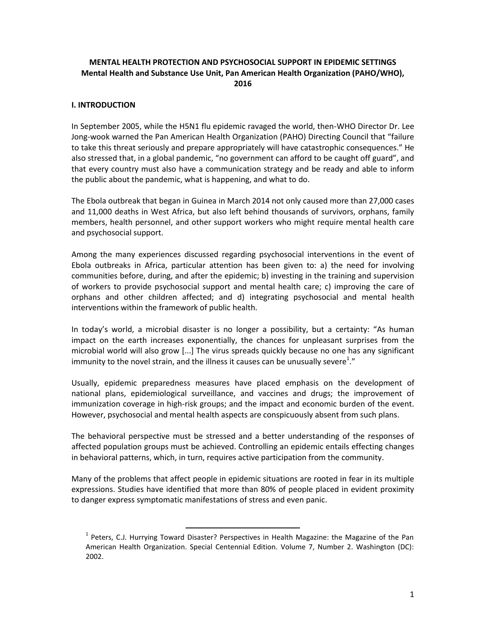# **MENTAL HEALTH PROTECTION AND PSYCHOSOCIAL SUPPORT IN EPIDEMIC SETTINGS Mental Health and Substance Use Unit, Pan American Health Organization (PAHO/WHO), 2016**

#### **I. INTRODUCTION**

In September 2005, while the H5N1 flu epidemic ravaged the world, then-WHO Director Dr. Lee Jong-wook warned the Pan American Health Organization (PAHO) Directing Council that "failure to take this threat seriously and prepare appropriately will have catastrophic consequences." He also stressed that, in a global pandemic, "no government can afford to be caught off guard", and that every country must also have a communication strategy and be ready and able to inform the public about the pandemic, what is happening, and what to do.

The Ebola outbreak that began in Guinea in March 2014 not only caused more than 27,000 cases and 11,000 deaths in West Africa, but also left behind thousands of survivors, orphans, family members, health personnel, and other support workers who might require mental health care and psychosocial support.

Among the many experiences discussed regarding psychosocial interventions in the event of Ebola outbreaks in Africa, particular attention has been given to: a) the need for involving communities before, during, and after the epidemic; b) investing in the training and supervision of workers to provide psychosocial support and mental health care; c) improving the care of orphans and other children affected; and d) integrating psychosocial and mental health interventions within the framework of public health.

In today's world, a microbial disaster is no longer a possibility, but a certainty: "As human impact on the earth increases exponentially, the chances for unpleasant surprises from the microbial world will also grow [...] The virus spreads quickly because no one has any significant immunity to the novel strain, and the illness it causes can be unusually severe<sup>1</sup>."

Usually, epidemic preparedness measures have placed emphasis on the development of national plans, epidemiological surveillance, and vaccines and drugs; the improvement of immunization coverage in high-risk groups; and the impact and economic burden of the event. However, psychosocial and mental health aspects are conspicuously absent from such plans.

The behavioral perspective must be stressed and a better understanding of the responses of affected population groups must be achieved. Controlling an epidemic entails effecting changes in behavioral patterns, which, in turn, requires active participation from the community.

Many of the problems that affect people in epidemic situations are rooted in fear in its multiple expressions. Studies have identified that more than 80% of people placed in evident proximity to danger express symptomatic manifestations of stress and even panic.

 $\overline{a}$ 

<sup>&</sup>lt;sup>1</sup> Peters, C.J. Hurrying Toward Disaster? Perspectives in Health Magazine: the Magazine of the Pan American Health Organization. Special Centennial Edition. Volume 7, Number 2. Washington (DC): 2002.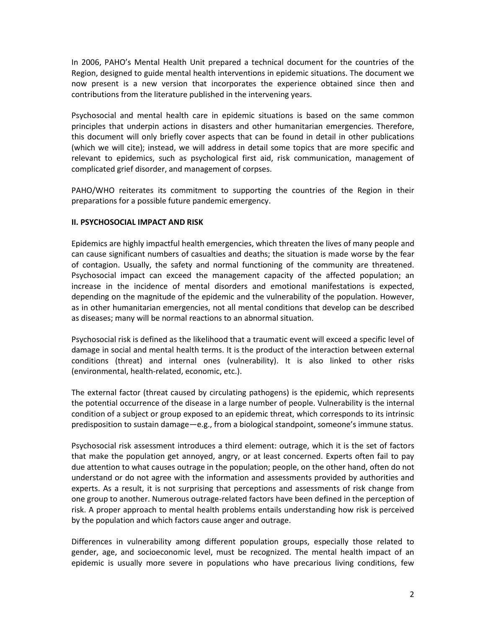In 2006, PAHO's Mental Health Unit prepared a technical document for the countries of the Region, designed to guide mental health interventions in epidemic situations. The document we now present is a new version that incorporates the experience obtained since then and contributions from the literature published in the intervening years.

Psychosocial and mental health care in epidemic situations is based on the same common principles that underpin actions in disasters and other humanitarian emergencies. Therefore, this document will only briefly cover aspects that can be found in detail in other publications (which we will cite); instead, we will address in detail some topics that are more specific and relevant to epidemics, such as psychological first aid, risk communication, management of complicated grief disorder, and management of corpses.

PAHO/WHO reiterates its commitment to supporting the countries of the Region in their preparations for a possible future pandemic emergency.

#### **II. PSYCHOSOCIAL IMPACT AND RISK**

Epidemics are highly impactful health emergencies, which threaten the lives of many people and can cause significant numbers of casualties and deaths; the situation is made worse by the fear of contagion. Usually, the safety and normal functioning of the community are threatened. Psychosocial impact can exceed the management capacity of the affected population; an increase in the incidence of mental disorders and emotional manifestations is expected, depending on the magnitude of the epidemic and the vulnerability of the population. However, as in other humanitarian emergencies, not all mental conditions that develop can be described as diseases; many will be normal reactions to an abnormal situation.

Psychosocial risk is defined as the likelihood that a traumatic event will exceed a specific level of damage in social and mental health terms. It is the product of the interaction between external conditions (threat) and internal ones (vulnerability). It is also linked to other risks (environmental, health-related, economic, etc.).

The external factor (threat caused by circulating pathogens) is the epidemic, which represents the potential occurrence of the disease in a large number of people. Vulnerability is the internal condition of a subject or group exposed to an epidemic threat, which corresponds to its intrinsic predisposition to sustain damage—e.g., from a biological standpoint, someone's immune status.

Psychosocial risk assessment introduces a third element: outrage, which it is the set of factors that make the population get annoyed, angry, or at least concerned. Experts often fail to pay due attention to what causes outrage in the population; people, on the other hand, often do not understand or do not agree with the information and assessments provided by authorities and experts. As a result, it is not surprising that perceptions and assessments of risk change from one group to another. Numerous outrage-related factors have been defined in the perception of risk. A proper approach to mental health problems entails understanding how risk is perceived by the population and which factors cause anger and outrage.

Differences in vulnerability among different population groups, especially those related to gender, age, and socioeconomic level, must be recognized. The mental health impact of an epidemic is usually more severe in populations who have precarious living conditions, few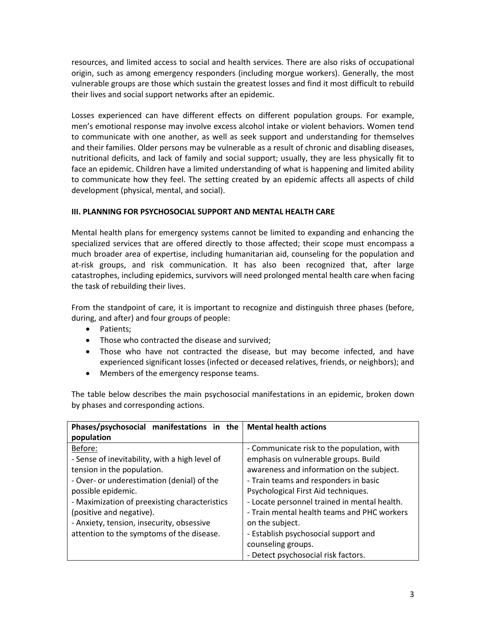resources, and limited access to social and health services. There are also risks of occupational origin, such as among emergency responders (including morgue workers). Generally, the most vulnerable groups are those which sustain the greatest losses and find it most difficult to rebuild their lives and social support networks after an epidemic.

Losses experienced can have different effects on different population groups. For example, men's emotional response may involve excess alcohol intake or violent behaviors. Women tend to communicate with one another, as well as seek support and understanding for themselves and their families. Older persons may be vulnerable as a result of chronic and disabling diseases, nutritional deficits, and lack of family and social support; usually, they are less physically fit to face an epidemic. Children have a limited understanding of what is happening and limited ability to communicate how they feel. The setting created by an epidemic affects all aspects of child development (physical, mental, and social).

### **III. PLANNING FOR PSYCHOSOCIAL SUPPORT AND MENTAL HEALTH CARE**

Mental health plans for emergency systems cannot be limited to expanding and enhancing the specialized services that are offered directly to those affected; their scope must encompass a much broader area of expertise, including humanitarian aid, counseling for the population and at-risk groups, and risk communication. It has also been recognized that, after large catastrophes, including epidemics, survivors will need prolonged mental health care when facing the task of rebuilding their lives.

From the standpoint of care, it is important to recognize and distinguish three phases (before, during, and after) and four groups of people:

- Patients:
- Those who contracted the disease and survived;
- Those who have not contracted the disease, but may become infected, and have experienced significant losses (infected or deceased relatives, friends, or neighbors); and
- Members of the emergency response teams.

The table below describes the main psychosocial manifestations in an epidemic, broken down by phases and corresponding actions.

| Phases/psychosocial manifestations in the      | <b>Mental health actions</b>                 |
|------------------------------------------------|----------------------------------------------|
| population                                     |                                              |
| Before:                                        | - Communicate risk to the population, with   |
| - Sense of inevitability, with a high level of | emphasis on vulnerable groups. Build         |
| tension in the population.                     | awareness and information on the subject.    |
| - Over- or underestimation (denial) of the     | - Train teams and responders in basic        |
| possible epidemic.                             | Psychological First Aid techniques.          |
| - Maximization of preexisting characteristics  | - Locate personnel trained in mental health. |
| (positive and negative).                       | - Train mental health teams and PHC workers  |
| - Anxiety, tension, insecurity, obsessive      | on the subject.                              |
| attention to the symptoms of the disease.      | - Establish psychosocial support and         |
|                                                | counseling groups.                           |
|                                                | - Detect psychosocial risk factors.          |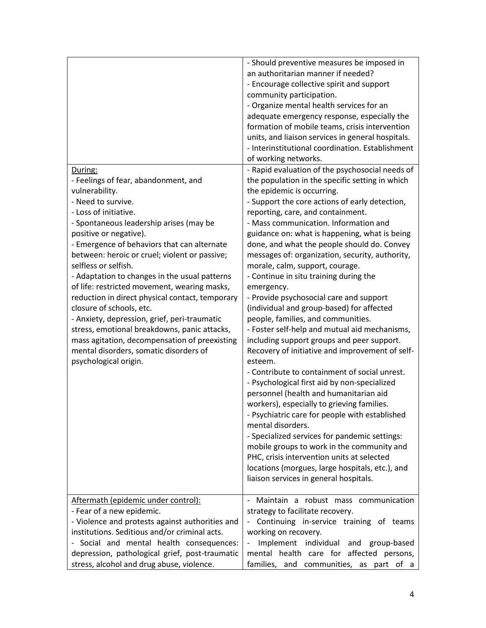| During:<br>- Feelings of fear, abandonment, and<br>vulnerability.<br>- Need to survive.<br>- Loss of initiative.<br>- Spontaneous leadership arises (may be<br>positive or negative).<br>- Emergence of behaviors that can alternate<br>between: heroic or cruel; violent or passive;<br>selfless or selfish.<br>- Adaptation to changes in the usual patterns<br>of life: restricted movement, wearing masks,<br>reduction in direct physical contact, temporary<br>closure of schools, etc.<br>- Anxiety, depression, grief, peri-traumatic<br>stress, emotional breakdowns, panic attacks,<br>mass agitation, decompensation of preexisting<br>mental disorders, somatic disorders of<br>psychological origin. | - Should preventive measures be imposed in<br>an authoritarian manner if needed?<br>- Encourage collective spirit and support<br>community participation.<br>- Organize mental health services for an<br>adequate emergency response, especially the<br>formation of mobile teams, crisis intervention<br>units, and liaison services in general hospitals.<br>- Interinstitutional coordination. Establishment<br>of working networks.<br>- Rapid evaluation of the psychosocial needs of<br>the population in the specific setting in which<br>the epidemic is occurring.<br>- Support the core actions of early detection,<br>reporting, care, and containment.<br>- Mass communication. Information and<br>guidance on: what is happening, what is being<br>done, and what the people should do. Convey<br>messages of: organization, security, authority,<br>morale, calm, support, courage.<br>- Continue in situ training during the<br>emergency.<br>- Provide psychosocial care and support<br>(individual and group-based) for affected<br>people, families, and communities.<br>- Foster self-help and mutual aid mechanisms,<br>including support groups and peer support.<br>Recovery of initiative and improvement of self-<br>esteem.<br>- Contribute to containment of social unrest.<br>- Psychological first aid by non-specialized<br>personnel (health and humanitarian aid<br>workers), especially to grieving families.<br>- Psychiatric care for people with established |
|-------------------------------------------------------------------------------------------------------------------------------------------------------------------------------------------------------------------------------------------------------------------------------------------------------------------------------------------------------------------------------------------------------------------------------------------------------------------------------------------------------------------------------------------------------------------------------------------------------------------------------------------------------------------------------------------------------------------|-------------------------------------------------------------------------------------------------------------------------------------------------------------------------------------------------------------------------------------------------------------------------------------------------------------------------------------------------------------------------------------------------------------------------------------------------------------------------------------------------------------------------------------------------------------------------------------------------------------------------------------------------------------------------------------------------------------------------------------------------------------------------------------------------------------------------------------------------------------------------------------------------------------------------------------------------------------------------------------------------------------------------------------------------------------------------------------------------------------------------------------------------------------------------------------------------------------------------------------------------------------------------------------------------------------------------------------------------------------------------------------------------------------------------------------------------------------------------------------------------|
|                                                                                                                                                                                                                                                                                                                                                                                                                                                                                                                                                                                                                                                                                                                   | mental disorders.<br>- Specialized services for pandemic settings:<br>mobile groups to work in the community and<br>PHC, crisis intervention units at selected<br>locations (morgues, large hospitals, etc.), and<br>liaison services in general hospitals.                                                                                                                                                                                                                                                                                                                                                                                                                                                                                                                                                                                                                                                                                                                                                                                                                                                                                                                                                                                                                                                                                                                                                                                                                                     |
| Aftermath (epidemic under control):                                                                                                                                                                                                                                                                                                                                                                                                                                                                                                                                                                                                                                                                               | Maintain a robust mass communication                                                                                                                                                                                                                                                                                                                                                                                                                                                                                                                                                                                                                                                                                                                                                                                                                                                                                                                                                                                                                                                                                                                                                                                                                                                                                                                                                                                                                                                            |
| - Fear of a new epidemic.                                                                                                                                                                                                                                                                                                                                                                                                                                                                                                                                                                                                                                                                                         | strategy to facilitate recovery.                                                                                                                                                                                                                                                                                                                                                                                                                                                                                                                                                                                                                                                                                                                                                                                                                                                                                                                                                                                                                                                                                                                                                                                                                                                                                                                                                                                                                                                                |
| - Violence and protests against authorities and                                                                                                                                                                                                                                                                                                                                                                                                                                                                                                                                                                                                                                                                   | Continuing in-service training of teams                                                                                                                                                                                                                                                                                                                                                                                                                                                                                                                                                                                                                                                                                                                                                                                                                                                                                                                                                                                                                                                                                                                                                                                                                                                                                                                                                                                                                                                         |
| institutions. Seditious and/or criminal acts.                                                                                                                                                                                                                                                                                                                                                                                                                                                                                                                                                                                                                                                                     | working on recovery.                                                                                                                                                                                                                                                                                                                                                                                                                                                                                                                                                                                                                                                                                                                                                                                                                                                                                                                                                                                                                                                                                                                                                                                                                                                                                                                                                                                                                                                                            |
| - Social and mental health consequences:                                                                                                                                                                                                                                                                                                                                                                                                                                                                                                                                                                                                                                                                          | Implement individual and group-based                                                                                                                                                                                                                                                                                                                                                                                                                                                                                                                                                                                                                                                                                                                                                                                                                                                                                                                                                                                                                                                                                                                                                                                                                                                                                                                                                                                                                                                            |
| depression, pathological grief, post-traumatic                                                                                                                                                                                                                                                                                                                                                                                                                                                                                                                                                                                                                                                                    | mental health care for affected persons,                                                                                                                                                                                                                                                                                                                                                                                                                                                                                                                                                                                                                                                                                                                                                                                                                                                                                                                                                                                                                                                                                                                                                                                                                                                                                                                                                                                                                                                        |
| stress, alcohol and drug abuse, violence.                                                                                                                                                                                                                                                                                                                                                                                                                                                                                                                                                                                                                                                                         | families, and communities, as part of a                                                                                                                                                                                                                                                                                                                                                                                                                                                                                                                                                                                                                                                                                                                                                                                                                                                                                                                                                                                                                                                                                                                                                                                                                                                                                                                                                                                                                                                         |
|                                                                                                                                                                                                                                                                                                                                                                                                                                                                                                                                                                                                                                                                                                                   |                                                                                                                                                                                                                                                                                                                                                                                                                                                                                                                                                                                                                                                                                                                                                                                                                                                                                                                                                                                                                                                                                                                                                                                                                                                                                                                                                                                                                                                                                                 |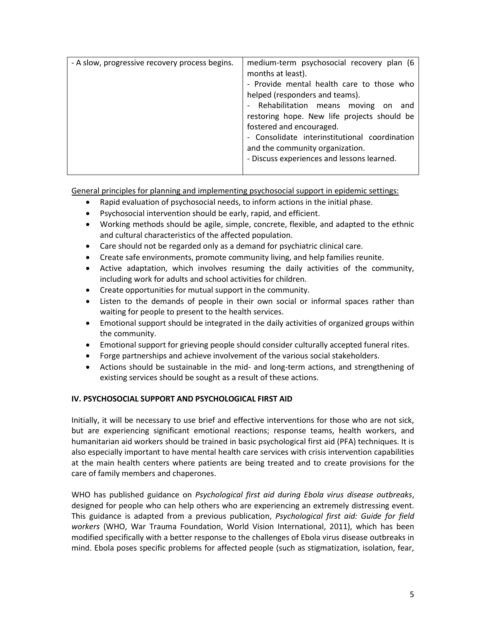| - A slow, progressive recovery process begins. | medium-term psychosocial recovery plan (6     |
|------------------------------------------------|-----------------------------------------------|
|                                                | months at least).                             |
|                                                | - Provide mental health care to those who     |
|                                                | helped (responders and teams).                |
|                                                | Rehabilitation means moving on<br>and         |
|                                                | restoring hope. New life projects should be   |
|                                                | fostered and encouraged.                      |
|                                                | - Consolidate interinstitutional coordination |
|                                                | and the community organization.               |
|                                                | - Discuss experiences and lessons learned.    |
|                                                |                                               |

General principles for planning and implementing psychosocial support in epidemic settings:

- Rapid evaluation of psychosocial needs, to inform actions in the initial phase.
- Psychosocial intervention should be early, rapid, and efficient.
- Working methods should be agile, simple, concrete, flexible, and adapted to the ethnic and cultural characteristics of the affected population.
- Care should not be regarded only as a demand for psychiatric clinical care.
- Create safe environments, promote community living, and help families reunite.
- Active adaptation, which involves resuming the daily activities of the community, including work for adults and school activities for children.
- Create opportunities for mutual support in the community.
- Listen to the demands of people in their own social or informal spaces rather than waiting for people to present to the health services.
- Emotional support should be integrated in the daily activities of organized groups within the community.
- Emotional support for grieving people should consider culturally accepted funeral rites.
- Forge partnerships and achieve involvement of the various social stakeholders.
- Actions should be sustainable in the mid- and long-term actions, and strengthening of existing services should be sought as a result of these actions.

#### **IV. PSYCHOSOCIAL SUPPORT AND PSYCHOLOGICAL FIRST AID**

Initially, it will be necessary to use brief and effective interventions for those who are not sick, but are experiencing significant emotional reactions; response teams, health workers, and humanitarian aid workers should be trained in basic psychological first aid (PFA) techniques. It is also especially important to have mental health care services with crisis intervention capabilities at the main health centers where patients are being treated and to create provisions for the care of family members and chaperones.

WHO has published guidance on *Psychological first aid during Ebola virus disease outbreaks*, designed for people who can help others who are experiencing an extremely distressing event. This guidance is adapted from a previous publication, *Psychological first aid: Guide for field workers* (WHO, War Trauma Foundation, World Vision International, 2011), which has been modified specifically with a better response to the challenges of Ebola virus disease outbreaks in mind. Ebola poses specific problems for affected people (such as stigmatization, isolation, fear,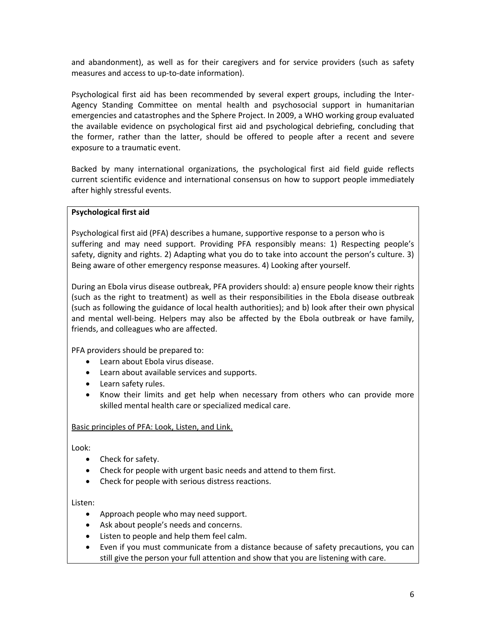and abandonment), as well as for their caregivers and for service providers (such as safety measures and access to up-to-date information).

Psychological first aid has been recommended by several expert groups, including the Inter-Agency Standing Committee on mental health and psychosocial support in humanitarian emergencies and catastrophes and the Sphere Project. In 2009, a WHO working group evaluated the available evidence on psychological first aid and psychological debriefing, concluding that the former, rather than the latter, should be offered to people after a recent and severe exposure to a traumatic event.

Backed by many international organizations, the psychological first aid field guide reflects current scientific evidence and international consensus on how to support people immediately after highly stressful events.

#### **Psychological first aid**

Psychological first aid (PFA) describes a humane, supportive response to a person who is suffering and may need support. Providing PFA responsibly means: 1) Respecting people's safety, dignity and rights. 2) Adapting what you do to take into account the person's culture. 3) Being aware of other emergency response measures. 4) Looking after yourself.

During an Ebola virus disease outbreak, PFA providers should: a) ensure people know their rights (such as the right to treatment) as well as their responsibilities in the Ebola disease outbreak (such as following the guidance of local health authorities); and b) look after their own physical and mental well-being. Helpers may also be affected by the Ebola outbreak or have family, friends, and colleagues who are affected.

PFA providers should be prepared to:

- Learn about Ebola virus disease.
- Learn about available services and supports.
- Learn safety rules.
- Know their limits and get help when necessary from others who can provide more skilled mental health care or specialized medical care.

#### Basic principles of PFA: Look, Listen, and Link.

Look:

- Check for safety.
- Check for people with urgent basic needs and attend to them first.
- Check for people with serious distress reactions.

Listen:

- Approach people who may need support.
- Ask about people's needs and concerns.
- Listen to people and help them feel calm.
- Even if you must communicate from a distance because of safety precautions, you can still give the person your full attention and show that you are listening with care.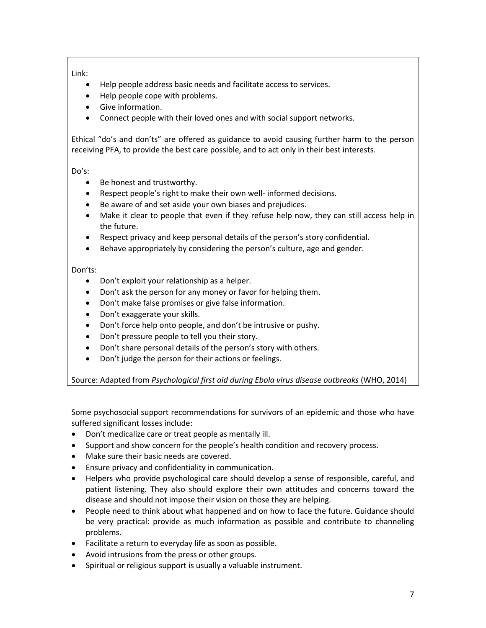# Link:

- Help people address basic needs and facilitate access to services.
- Help people cope with problems.
- Give information.
- Connect people with their loved ones and with social support networks.

Ethical "do's and don'ts" are offered as guidance to avoid causing further harm to the person receiving PFA, to provide the best care possible, and to act only in their best interests.

## Do's:

- Be honest and trustworthy.
- Respect people's right to make their own well- informed decisions.
- Be aware of and set aside your own biases and prejudices.
- Make it clear to people that even if they refuse help now, they can still access help in the future.
- Respect privacy and keep personal details of the person's story confidential.
- Behave appropriately by considering the person's culture, age and gender.

## Don'ts:

- Don't exploit your relationship as a helper.
- Don't ask the person for any money or favor for helping them.
- Don't make false promises or give false information.
- Don't exaggerate your skills.
- Don't force help onto people, and don't be intrusive or pushy.
- Don't pressure people to tell you their story.
- Don't share personal details of the person's story with others.
- Don't judge the person for their actions or feelings.

Source: Adapted from *Psychological first aid during Ebola virus disease outbreaks* (WHO, 2014)

Some psychosocial support recommendations for survivors of an epidemic and those who have suffered significant losses include:

- Don't medicalize care or treat people as mentally ill.
- Support and show concern for the people's health condition and recovery process.
- Make sure their basic needs are covered.
- Ensure privacy and confidentiality in communication.
- Helpers who provide psychological care should develop a sense of responsible, careful, and patient listening. They also should explore their own attitudes and concerns toward the disease and should not impose their vision on those they are helping.
- People need to think about what happened and on how to face the future. Guidance should be very practical: provide as much information as possible and contribute to channeling problems.
- Facilitate a return to everyday life as soon as possible.
- Avoid intrusions from the press or other groups.
- Spiritual or religious support is usually a valuable instrument.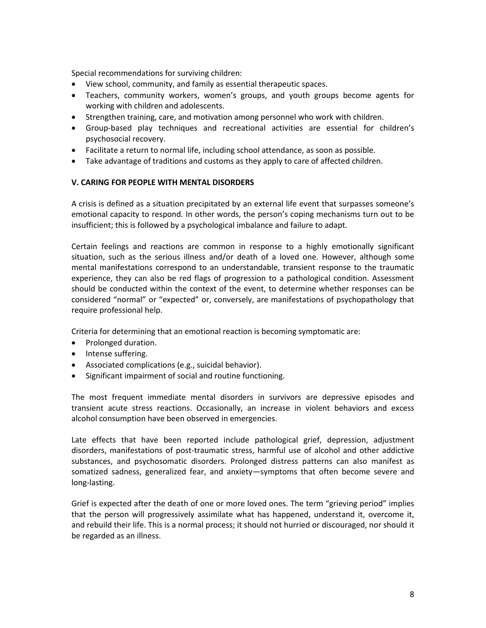Special recommendations for surviving children:

- View school, community, and family as essential therapeutic spaces.
- Teachers, community workers, women's groups, and youth groups become agents for working with children and adolescents.
- Strengthen training, care, and motivation among personnel who work with children.
- Group-based play techniques and recreational activities are essential for children's psychosocial recovery.
- Facilitate a return to normal life, including school attendance, as soon as possible.
- Take advantage of traditions and customs as they apply to care of affected children.

#### **V. CARING FOR PEOPLE WITH MENTAL DISORDERS**

A crisis is defined as a situation precipitated by an external life event that surpasses someone's emotional capacity to respond. In other words, the person's coping mechanisms turn out to be insufficient; this is followed by a psychological imbalance and failure to adapt.

Certain feelings and reactions are common in response to a highly emotionally significant situation, such as the serious illness and/or death of a loved one. However, although some mental manifestations correspond to an understandable, transient response to the traumatic experience, they can also be red flags of progression to a pathological condition. Assessment should be conducted within the context of the event, to determine whether responses can be considered "normal" or "expected" or, conversely, are manifestations of psychopathology that require professional help.

Criteria for determining that an emotional reaction is becoming symptomatic are:

- Prolonged duration.
- Intense suffering.
- Associated complications (e.g., suicidal behavior).
- Significant impairment of social and routine functioning.

The most frequent immediate mental disorders in survivors are depressive episodes and transient acute stress reactions. Occasionally, an increase in violent behaviors and excess alcohol consumption have been observed in emergencies.

Late effects that have been reported include pathological grief, depression, adjustment disorders, manifestations of post-traumatic stress, harmful use of alcohol and other addictive substances, and psychosomatic disorders. Prolonged distress patterns can also manifest as somatized sadness, generalized fear, and anxiety—symptoms that often become severe and long-lasting.

Grief is expected after the death of one or more loved ones. The term "grieving period" implies that the person will progressively assimilate what has happened, understand it, overcome it, and rebuild their life. This is a normal process; it should not hurried or discouraged, nor should it be regarded as an illness.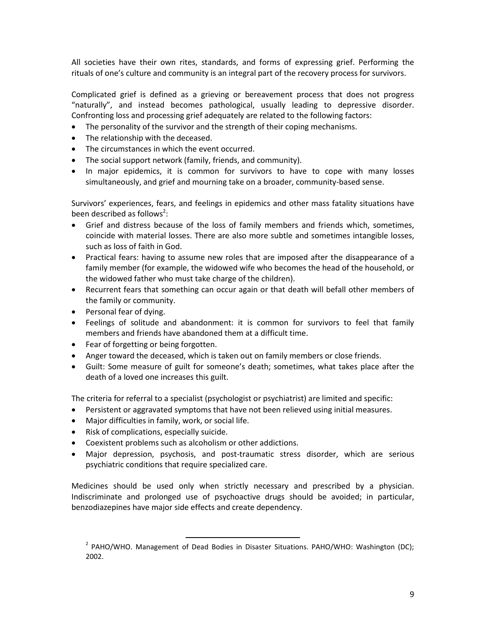All societies have their own rites, standards, and forms of expressing grief. Performing the rituals of one's culture and community is an integral part of the recovery process for survivors.

Complicated grief is defined as a grieving or bereavement process that does not progress "naturally", and instead becomes pathological, usually leading to depressive disorder. Confronting loss and processing grief adequately are related to the following factors:

- The personality of the survivor and the strength of their coping mechanisms.
- The relationship with the deceased.
- The circumstances in which the event occurred.
- The social support network (family, friends, and community).
- In major epidemics, it is common for survivors to have to cope with many losses simultaneously, and grief and mourning take on a broader, community-based sense.

Survivors' experiences, fears, and feelings in epidemics and other mass fatality situations have been described as follows<sup>2</sup>:

- Grief and distress because of the loss of family members and friends which, sometimes, coincide with material losses. There are also more subtle and sometimes intangible losses, such as loss of faith in God.
- Practical fears: having to assume new roles that are imposed after the disappearance of a family member (for example, the widowed wife who becomes the head of the household, or the widowed father who must take charge of the children).
- Recurrent fears that something can occur again or that death will befall other members of the family or community.
- Personal fear of dying.
- Feelings of solitude and abandonment: it is common for survivors to feel that family members and friends have abandoned them at a difficult time.
- Fear of forgetting or being forgotten.
- Anger toward the deceased, which is taken out on family members or close friends.
- Guilt: Some measure of guilt for someone's death; sometimes, what takes place after the death of a loved one increases this guilt.

The criteria for referral to a specialist (psychologist or psychiatrist) are limited and specific:

- Persistent or aggravated symptoms that have not been relieved using initial measures.
- Major difficulties in family, work, or social life.
- Risk of complications, especially suicide.
- Coexistent problems such as alcoholism or other addictions.

 $\overline{\phantom{a}}$ 

 Major depression, psychosis, and post-traumatic stress disorder, which are serious psychiatric conditions that require specialized care.

Medicines should be used only when strictly necessary and prescribed by a physician. Indiscriminate and prolonged use of psychoactive drugs should be avoided; in particular, benzodiazepines have major side effects and create dependency.

<sup>&</sup>lt;sup>2</sup> PAHO/WHO. Management of Dead Bodies in Disaster Situations. PAHO/WHO: Washington (DC); 2002.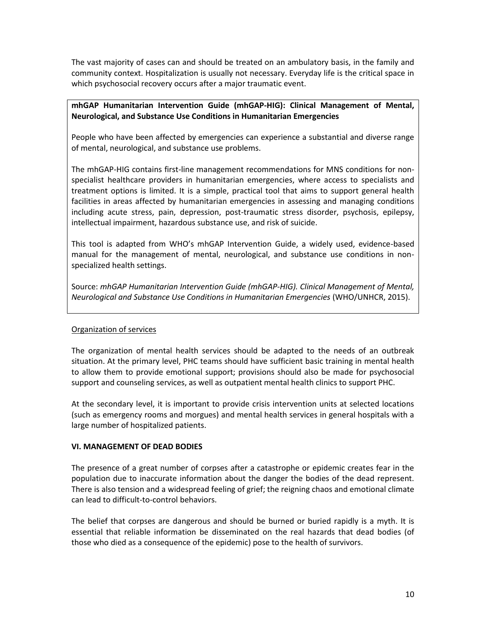The vast majority of cases can and should be treated on an ambulatory basis, in the family and community context. Hospitalization is usually not necessary. Everyday life is the critical space in which psychosocial recovery occurs after a major traumatic event.

### **mhGAP Humanitarian Intervention Guide (mhGAP-HIG): Clinical Management of Mental, Neurological, and Substance Use Conditions in Humanitarian Emergencies**

People who have been affected by emergencies can experience a substantial and diverse range of mental, neurological, and substance use problems.

The mhGAP-HIG contains first-line management recommendations for MNS conditions for nonspecialist healthcare providers in humanitarian emergencies, where access to specialists and treatment options is limited. It is a simple, practical tool that aims to support general health facilities in areas affected by humanitarian emergencies in assessing and managing conditions including acute stress, pain, depression, post-traumatic stress disorder, psychosis, epilepsy, intellectual impairment, hazardous substance use, and risk of suicide.

This tool is adapted from WHO's mhGAP Intervention Guide, a widely used, evidence-based manual for the management of mental, neurological, and substance use conditions in nonspecialized health settings.

Source: *mhGAP Humanitarian Intervention Guide (mhGAP-HIG). Clinical Management of Mental, Neurological and Substance Use Conditions in Humanitarian Emergencies* (WHO/UNHCR, 2015).

#### Organization of services

The organization of mental health services should be adapted to the needs of an outbreak situation. At the primary level, PHC teams should have sufficient basic training in mental health to allow them to provide emotional support; provisions should also be made for psychosocial support and counseling services, as well as outpatient mental health clinics to support PHC.

At the secondary level, it is important to provide crisis intervention units at selected locations (such as emergency rooms and morgues) and mental health services in general hospitals with a large number of hospitalized patients.

#### **VI. MANAGEMENT OF DEAD BODIES**

The presence of a great number of corpses after a catastrophe or epidemic creates fear in the population due to inaccurate information about the danger the bodies of the dead represent. There is also tension and a widespread feeling of grief; the reigning chaos and emotional climate can lead to difficult-to-control behaviors.

The belief that corpses are dangerous and should be burned or buried rapidly is a myth. It is essential that reliable information be disseminated on the real hazards that dead bodies (of those who died as a consequence of the epidemic) pose to the health of survivors.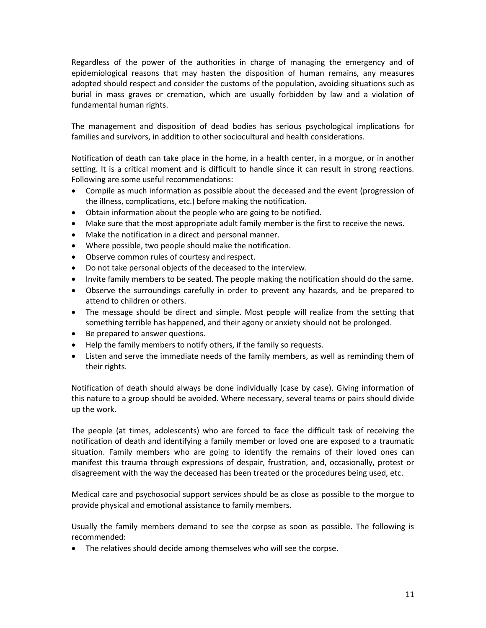Regardless of the power of the authorities in charge of managing the emergency and of epidemiological reasons that may hasten the disposition of human remains, any measures adopted should respect and consider the customs of the population, avoiding situations such as burial in mass graves or cremation, which are usually forbidden by law and a violation of fundamental human rights.

The management and disposition of dead bodies has serious psychological implications for families and survivors, in addition to other sociocultural and health considerations.

Notification of death can take place in the home, in a health center, in a morgue, or in another setting. It is a critical moment and is difficult to handle since it can result in strong reactions. Following are some useful recommendations:

- Compile as much information as possible about the deceased and the event (progression of the illness, complications, etc.) before making the notification.
- Obtain information about the people who are going to be notified.
- Make sure that the most appropriate adult family member is the first to receive the news.
- Make the notification in a direct and personal manner.
- Where possible, two people should make the notification.
- Observe common rules of courtesy and respect.
- Do not take personal objects of the deceased to the interview.
- Invite family members to be seated. The people making the notification should do the same.
- Observe the surroundings carefully in order to prevent any hazards, and be prepared to attend to children or others.
- The message should be direct and simple. Most people will realize from the setting that something terrible has happened, and their agony or anxiety should not be prolonged.
- Be prepared to answer questions.
- Help the family members to notify others, if the family so requests.
- Listen and serve the immediate needs of the family members, as well as reminding them of their rights.

Notification of death should always be done individually (case by case). Giving information of this nature to a group should be avoided. Where necessary, several teams or pairs should divide up the work.

The people (at times, adolescents) who are forced to face the difficult task of receiving the notification of death and identifying a family member or loved one are exposed to a traumatic situation. Family members who are going to identify the remains of their loved ones can manifest this trauma through expressions of despair, frustration, and, occasionally, protest or disagreement with the way the deceased has been treated or the procedures being used, etc.

Medical care and psychosocial support services should be as close as possible to the morgue to provide physical and emotional assistance to family members.

Usually the family members demand to see the corpse as soon as possible. The following is recommended:

The relatives should decide among themselves who will see the corpse.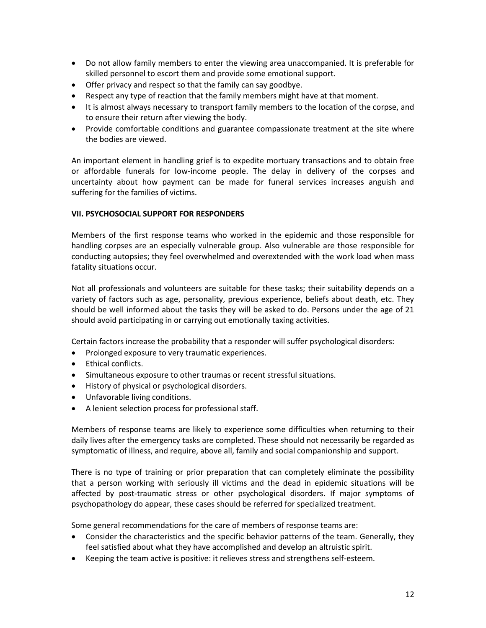- Do not allow family members to enter the viewing area unaccompanied. It is preferable for skilled personnel to escort them and provide some emotional support.
- Offer privacy and respect so that the family can say goodbye.
- Respect any type of reaction that the family members might have at that moment.
- It is almost always necessary to transport family members to the location of the corpse, and to ensure their return after viewing the body.
- Provide comfortable conditions and guarantee compassionate treatment at the site where the bodies are viewed.

An important element in handling grief is to expedite mortuary transactions and to obtain free or affordable funerals for low-income people. The delay in delivery of the corpses and uncertainty about how payment can be made for funeral services increases anguish and suffering for the families of victims.

#### **VII. PSYCHOSOCIAL SUPPORT FOR RESPONDERS**

Members of the first response teams who worked in the epidemic and those responsible for handling corpses are an especially vulnerable group. Also vulnerable are those responsible for conducting autopsies; they feel overwhelmed and overextended with the work load when mass fatality situations occur.

Not all professionals and volunteers are suitable for these tasks; their suitability depends on a variety of factors such as age, personality, previous experience, beliefs about death, etc. They should be well informed about the tasks they will be asked to do. Persons under the age of 21 should avoid participating in or carrying out emotionally taxing activities.

Certain factors increase the probability that a responder will suffer psychological disorders:

- Prolonged exposure to very traumatic experiences.
- Ethical conflicts.
- Simultaneous exposure to other traumas or recent stressful situations.
- History of physical or psychological disorders.
- Unfavorable living conditions.
- A lenient selection process for professional staff.

Members of response teams are likely to experience some difficulties when returning to their daily lives after the emergency tasks are completed. These should not necessarily be regarded as symptomatic of illness, and require, above all, family and social companionship and support.

There is no type of training or prior preparation that can completely eliminate the possibility that a person working with seriously ill victims and the dead in epidemic situations will be affected by post-traumatic stress or other psychological disorders. If major symptoms of psychopathology do appear, these cases should be referred for specialized treatment.

Some general recommendations for the care of members of response teams are:

- Consider the characteristics and the specific behavior patterns of the team. Generally, they feel satisfied about what they have accomplished and develop an altruistic spirit.
- Keeping the team active is positive: it relieves stress and strengthens self-esteem.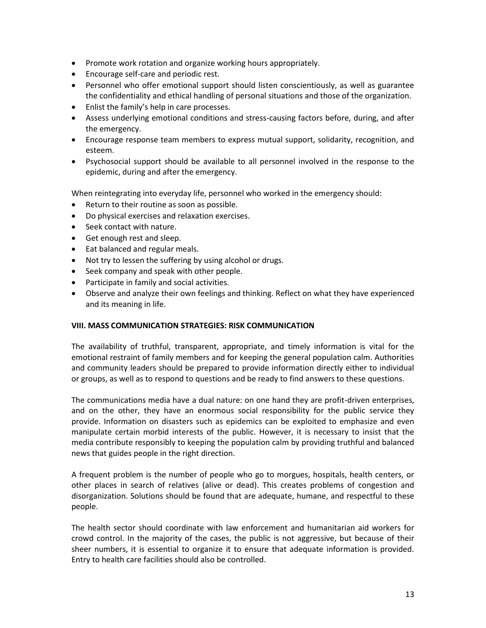- Promote work rotation and organize working hours appropriately.
- Encourage self-care and periodic rest.
- Personnel who offer emotional support should listen conscientiously, as well as guarantee the confidentiality and ethical handling of personal situations and those of the organization.
- Enlist the family's help in care processes.
- Assess underlying emotional conditions and stress-causing factors before, during, and after the emergency.
- Encourage response team members to express mutual support, solidarity, recognition, and esteem.
- Psychosocial support should be available to all personnel involved in the response to the epidemic, during and after the emergency.

When reintegrating into everyday life, personnel who worked in the emergency should:

- Return to their routine as soon as possible.
- Do physical exercises and relaxation exercises.
- Seek contact with nature.
- Get enough rest and sleep.
- Eat balanced and regular meals.
- Not try to lessen the suffering by using alcohol or drugs.
- Seek company and speak with other people.
- Participate in family and social activities.
- Observe and analyze their own feelings and thinking. Reflect on what they have experienced and its meaning in life.

#### **VIII. MASS COMMUNICATION STRATEGIES: RISK COMMUNICATION**

The availability of truthful, transparent, appropriate, and timely information is vital for the emotional restraint of family members and for keeping the general population calm. Authorities and community leaders should be prepared to provide information directly either to individual or groups, as well as to respond to questions and be ready to find answers to these questions.

The communications media have a dual nature: on one hand they are profit-driven enterprises, and on the other, they have an enormous social responsibility for the public service they provide. Information on disasters such as epidemics can be exploited to emphasize and even manipulate certain morbid interests of the public. However, it is necessary to insist that the media contribute responsibly to keeping the population calm by providing truthful and balanced news that guides people in the right direction.

A frequent problem is the number of people who go to morgues, hospitals, health centers, or other places in search of relatives (alive or dead). This creates problems of congestion and disorganization. Solutions should be found that are adequate, humane, and respectful to these people.

The health sector should coordinate with law enforcement and humanitarian aid workers for crowd control. In the majority of the cases, the public is not aggressive, but because of their sheer numbers, it is essential to organize it to ensure that adequate information is provided. Entry to health care facilities should also be controlled.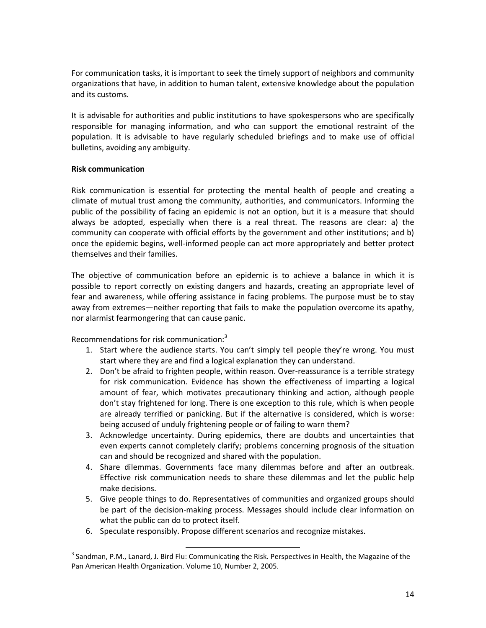For communication tasks, it is important to seek the timely support of neighbors and community organizations that have, in addition to human talent, extensive knowledge about the population and its customs.

It is advisable for authorities and public institutions to have spokespersons who are specifically responsible for managing information, and who can support the emotional restraint of the population. It is advisable to have regularly scheduled briefings and to make use of official bulletins, avoiding any ambiguity.

#### **Risk communication**

Risk communication is essential for protecting the mental health of people and creating a climate of mutual trust among the community, authorities, and communicators. Informing the public of the possibility of facing an epidemic is not an option, but it is a measure that should always be adopted, especially when there is a real threat. The reasons are clear: a) the community can cooperate with official efforts by the government and other institutions; and b) once the epidemic begins, well-informed people can act more appropriately and better protect themselves and their families.

The objective of communication before an epidemic is to achieve a balance in which it is possible to report correctly on existing dangers and hazards, creating an appropriate level of fear and awareness, while offering assistance in facing problems. The purpose must be to stay away from extremes—neither reporting that fails to make the population overcome its apathy, nor alarmist fearmongering that can cause panic.

Recommendations for risk communication:<sup>3</sup>

- 1. Start where the audience starts. You can't simply tell people they're wrong. You must start where they are and find a logical explanation they can understand.
- 2. Don't be afraid to frighten people, within reason. Over-reassurance is a terrible strategy for risk communication. Evidence has shown the effectiveness of imparting a logical amount of fear, which motivates precautionary thinking and action, although people don't stay frightened for long. There is one exception to this rule, which is when people are already terrified or panicking. But if the alternative is considered, which is worse: being accused of unduly frightening people or of failing to warn them?
- 3. Acknowledge uncertainty. During epidemics, there are doubts and uncertainties that even experts cannot completely clarify; problems concerning prognosis of the situation can and should be recognized and shared with the population.
- 4. Share dilemmas. Governments face many dilemmas before and after an outbreak. Effective risk communication needs to share these dilemmas and let the public help make decisions.
- 5. Give people things to do. Representatives of communities and organized groups should be part of the decision-making process. Messages should include clear information on what the public can do to protect itself.
- 6. Speculate responsibly. Propose different scenarios and recognize mistakes.

l

 $^3$  Sandman, P.M., Lanard, J. Bird Flu: Communicating the Risk. Perspectives in Health, the Magazine of the Pan American Health Organization. Volume 10, Number 2, 2005.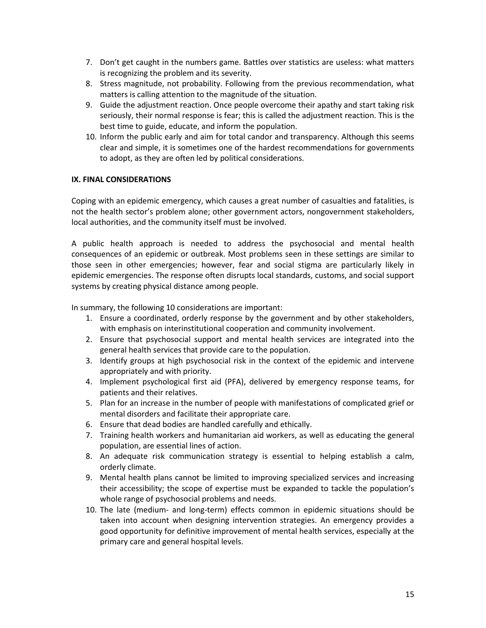- 7. Don't get caught in the numbers game. Battles over statistics are useless: what matters is recognizing the problem and its severity.
- 8. Stress magnitude, not probability. Following from the previous recommendation, what matters is calling attention to the magnitude of the situation.
- 9. Guide the adjustment reaction. Once people overcome their apathy and start taking risk seriously, their normal response is fear; this is called the adjustment reaction. This is the best time to guide, educate, and inform the population.
- 10. Inform the public early and aim for total candor and transparency. Although this seems clear and simple, it is sometimes one of the hardest recommendations for governments to adopt, as they are often led by political considerations.

#### **IX. FINAL CONSIDERATIONS**

Coping with an epidemic emergency, which causes a great number of casualties and fatalities, is not the health sector's problem alone; other government actors, nongovernment stakeholders, local authorities, and the community itself must be involved.

A public health approach is needed to address the psychosocial and mental health consequences of an epidemic or outbreak. Most problems seen in these settings are similar to those seen in other emergencies; however, fear and social stigma are particularly likely in epidemic emergencies. The response often disrupts local standards, customs, and social support systems by creating physical distance among people.

In summary, the following 10 considerations are important:

- 1. Ensure a coordinated, orderly response by the government and by other stakeholders, with emphasis on interinstitutional cooperation and community involvement.
- 2. Ensure that psychosocial support and mental health services are integrated into the general health services that provide care to the population.
- 3. Identify groups at high psychosocial risk in the context of the epidemic and intervene appropriately and with priority.
- 4. Implement psychological first aid (PFA), delivered by emergency response teams, for patients and their relatives.
- 5. Plan for an increase in the number of people with manifestations of complicated grief or mental disorders and facilitate their appropriate care.
- 6. Ensure that dead bodies are handled carefully and ethically.
- 7. Training health workers and humanitarian aid workers, as well as educating the general population, are essential lines of action.
- 8. An adequate risk communication strategy is essential to helping establish a calm, orderly climate.
- 9. Mental health plans cannot be limited to improving specialized services and increasing their accessibility; the scope of expertise must be expanded to tackle the population's whole range of psychosocial problems and needs.
- 10. The late (medium- and long-term) effects common in epidemic situations should be taken into account when designing intervention strategies. An emergency provides a good opportunity for definitive improvement of mental health services, especially at the primary care and general hospital levels.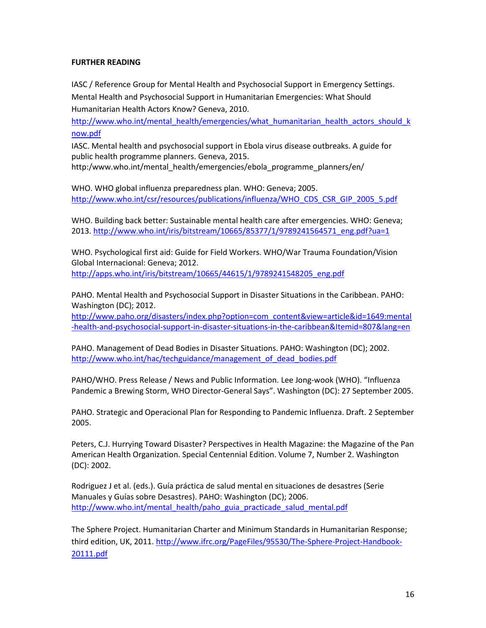### **FURTHER READING**

IASC / Reference Group for Mental Health and Psychosocial Support in Emergency Settings. Mental Health and Psychosocial Support in Humanitarian Emergencies: What Should Humanitarian Health Actors Know? Geneva, 2010.

[http://www.who.int/mental\\_health/emergencies/what\\_humanitarian\\_health\\_actors\\_should\\_k](http://www.who.int/mental_health/emergencies/what_humanitarian_health_actors_should_know.pdf) [now.pdf](http://www.who.int/mental_health/emergencies/what_humanitarian_health_actors_should_know.pdf)

IASC. Mental health and psychosocial support in Ebola virus disease outbreaks. A guide for public health programme planners. Geneva, 2015.

[http:/www.who.int/mental\\_health/emergencies/ebola\\_programme\\_planners/en/](http://www.who.int/mental_health/emergencies/ebola_programme_planners/en/)

WHO. WHO global influenza preparedness plan. WHO: Geneva; 2005. [http://www.who.int/csr/resources/publications/influenza/WHO\\_CDS\\_CSR\\_GIP\\_2005\\_5.pdf](http://www.who.int/csr/resources/publications/influenza/WHO_CDS_CSR_GIP_2005_5.pdf)

WHO. Building back better: Sustainable mental health care after emergencies. WHO: Geneva; 2013[. http://www.who.int/iris/bitstream/10665/85377/1/9789241564571\\_eng.pdf?ua=1](http://www.who.int/iris/bitstream/10665/85377/1/9789241564571_eng.pdf?ua=1)

WHO. Psychological first aid: Guide for Field Workers. WHO/War Trauma Foundation/Vision Global Internacional: Geneva; 2012. [http://apps.who.int/iris/bitstream/10665/44615/1/9789241548205\\_eng.pdf](http://apps.who.int/iris/bitstream/10665/44615/1/9789241548205_eng.pdf)

PAHO[. Mental Health and Psychosocial Support in Disaster Situations in the Caribbean.](http://www.paho.org/disasters/index.php?option=com_content&view=article&id=1647%3Amental-health-and-psychosocial-support-in-disaster-situations-in-the-caribbean&catid=895%3Abooks&Itemid=924&lang=en) PAHO: Washington (DC); 2012.

[http://www.paho.org/disasters/index.php?option=com\\_content&view=article&id=1649:mental](http://www.paho.org/disasters/index.php?option=com_content&view=article&id=1649:mental-health-and-psychosocial-support-in-disaster-situations-in-the-caribbean&Itemid=807&lang=en) [-health-and-psychosocial-support-in-disaster-situations-in-the-caribbean&Itemid=807&lang=en](http://www.paho.org/disasters/index.php?option=com_content&view=article&id=1649:mental-health-and-psychosocial-support-in-disaster-situations-in-the-caribbean&Itemid=807&lang=en)

PAHO. Management of Dead Bodies in Disaster Situations. PAHO: Washington (DC); 2002. [http://www.who.int/hac/techguidance/management\\_of\\_dead\\_bodies.pdf](http://www.who.int/hac/techguidance/management_of_dead_bodies.pdf)

PAHO/WHO. Press Release / News and Public Information. Lee Jong-wook (WHO). "Influenza Pandemic a Brewing Storm, WHO Director-General Says". Washington (DC): 27 September 2005.

PAHO. Strategic and Operacional Plan for Responding to Pandemic Influenza. Draft. 2 September 2005.

Peters, C.J. Hurrying Toward Disaster? Perspectives in Health Magazine: the Magazine of the Pan American Health Organization. Special Centennial Edition. Volume 7, Number 2. Washington (DC): 2002.

Rodriguez J et al. (eds.). Guía práctica de salud mental en situaciones de desastres (Serie Manuales y Guías sobre Desastres). PAHO: Washington (DC); 2006. [http://www.who.int/mental\\_health/paho\\_guia\\_practicade\\_salud\\_mental.pdf](http://www.who.int/mental_health/paho_guia_practicade_salud_mental.pdf)

The Sphere Project. Humanitarian Charter and Minimum Standards in Humanitarian Response; third edition, UK, 2011[. http://www.ifrc.org/PageFiles/95530/The-Sphere-Project-Handbook-](http://www.ifrc.org/PageFiles/95530/The-Sphere-Project-Handbook-20111.pdf)[20111.pdf](http://www.ifrc.org/PageFiles/95530/The-Sphere-Project-Handbook-20111.pdf)